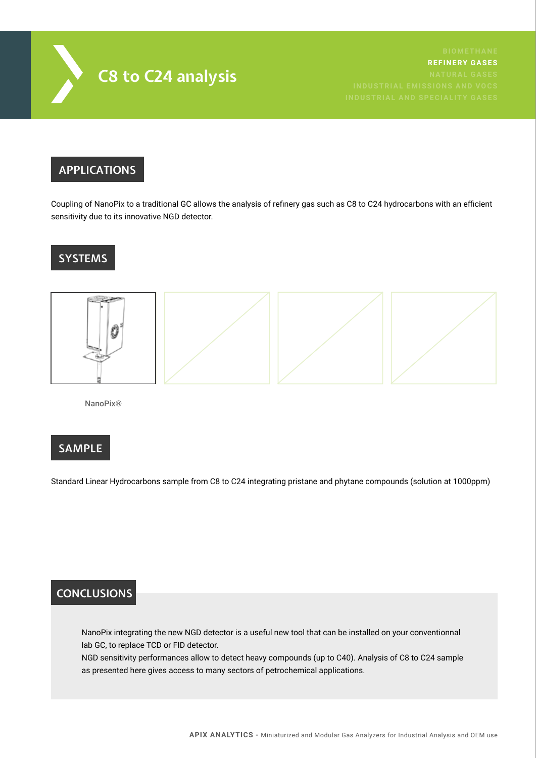

**REFINERY GASES**

### **APPLICATIONS**

Coupling of NanoPix to a traditional GC allows the analysis of refinery gas such as C8 to C24 hydrocarbons with an efficient sensitivity due to its innovative NGD detector.

## **SYSTEMS**



NanoPix®

#### **SAMPLE**

Standard Linear Hydrocarbons sample from C8 to C24 integrating pristane and phytane compounds (solution at 1000ppm)

#### **CONCLUSIONS**

NanoPix integrating the new NGD detector is a useful new tool that can be installed on your conventionnal lab GC, to replace TCD or FID detector.

NGD sensitivity performances allow to detect heavy compounds (up to C40). Analysis of C8 to C24 sample as presented here gives access to many sectors of petrochemical applications.